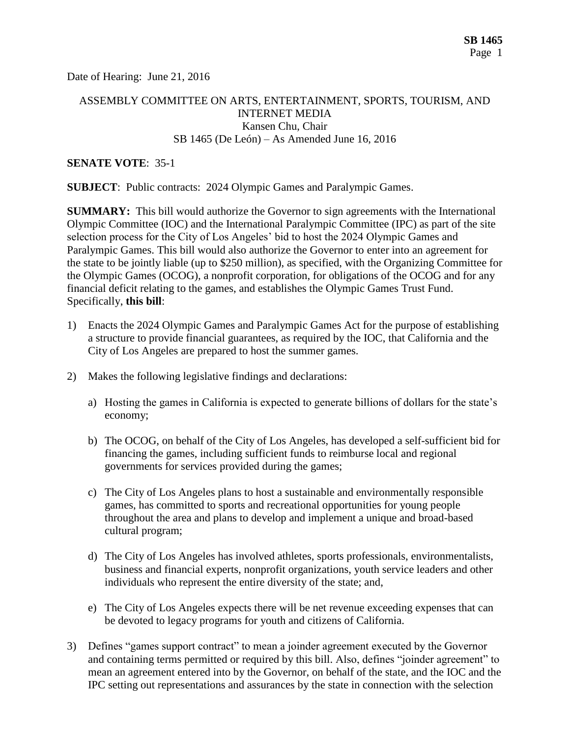Date of Hearing: June 21, 2016

## ASSEMBLY COMMITTEE ON ARTS, ENTERTAINMENT, SPORTS, TOURISM, AND INTERNET MEDIA Kansen Chu, Chair SB 1465 (De León) – As Amended June 16, 2016

### **SENATE VOTE**: 35-1

**SUBJECT**: Public contracts: 2024 Olympic Games and Paralympic Games.

**SUMMARY:** This bill would authorize the Governor to sign agreements with the International Olympic Committee (IOC) and the International Paralympic Committee (IPC) as part of the site selection process for the City of Los Angeles' bid to host the 2024 Olympic Games and Paralympic Games. This bill would also authorize the Governor to enter into an agreement for the state to be jointly liable (up to \$250 million), as specified, with the Organizing Committee for the Olympic Games (OCOG), a nonprofit corporation, for obligations of the OCOG and for any financial deficit relating to the games, and establishes the Olympic Games Trust Fund. Specifically, **this bill**:

- 1) Enacts the 2024 Olympic Games and Paralympic Games Act for the purpose of establishing a structure to provide financial guarantees, as required by the IOC, that California and the City of Los Angeles are prepared to host the summer games.
- 2) Makes the following legislative findings and declarations:
	- a) Hosting the games in California is expected to generate billions of dollars for the state's economy;
	- b) The OCOG, on behalf of the City of Los Angeles, has developed a self-sufficient bid for financing the games, including sufficient funds to reimburse local and regional governments for services provided during the games;
	- c) The City of Los Angeles plans to host a sustainable and environmentally responsible games, has committed to sports and recreational opportunities for young people throughout the area and plans to develop and implement a unique and broad-based cultural program;
	- d) The City of Los Angeles has involved athletes, sports professionals, environmentalists, business and financial experts, nonprofit organizations, youth service leaders and other individuals who represent the entire diversity of the state; and,
	- e) The City of Los Angeles expects there will be net revenue exceeding expenses that can be devoted to legacy programs for youth and citizens of California.
- 3) Defines "games support contract" to mean a joinder agreement executed by the Governor and containing terms permitted or required by this bill. Also, defines "joinder agreement" to mean an agreement entered into by the Governor, on behalf of the state, and the IOC and the IPC setting out representations and assurances by the state in connection with the selection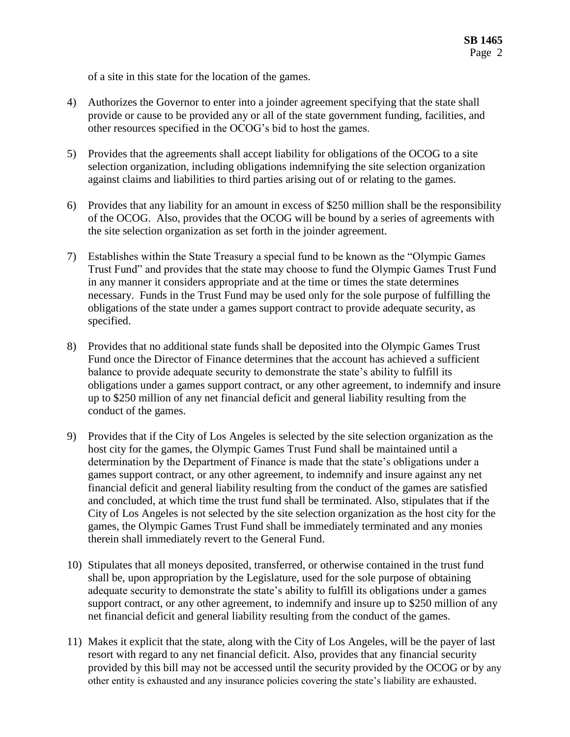of a site in this state for the location of the games.

- 4) Authorizes the Governor to enter into a joinder agreement specifying that the state shall provide or cause to be provided any or all of the state government funding, facilities, and other resources specified in the OCOG's bid to host the games.
- 5) Provides that the agreements shall accept liability for obligations of the OCOG to a site selection organization, including obligations indemnifying the site selection organization against claims and liabilities to third parties arising out of or relating to the games.
- 6) Provides that any liability for an amount in excess of \$250 million shall be the responsibility of the OCOG. Also, provides that the OCOG will be bound by a series of agreements with the site selection organization as set forth in the joinder agreement.
- 7) Establishes within the State Treasury a special fund to be known as the "Olympic Games Trust Fund" and provides that the state may choose to fund the Olympic Games Trust Fund in any manner it considers appropriate and at the time or times the state determines necessary. Funds in the Trust Fund may be used only for the sole purpose of fulfilling the obligations of the state under a games support contract to provide adequate security, as specified.
- 8) Provides that no additional state funds shall be deposited into the Olympic Games Trust Fund once the Director of Finance determines that the account has achieved a sufficient balance to provide adequate security to demonstrate the state's ability to fulfill its obligations under a games support contract, or any other agreement, to indemnify and insure up to \$250 million of any net financial deficit and general liability resulting from the conduct of the games.
- 9) Provides that if the City of Los Angeles is selected by the site selection organization as the host city for the games, the Olympic Games Trust Fund shall be maintained until a determination by the Department of Finance is made that the state's obligations under a games support contract, or any other agreement, to indemnify and insure against any net financial deficit and general liability resulting from the conduct of the games are satisfied and concluded, at which time the trust fund shall be terminated. Also, stipulates that if the City of Los Angeles is not selected by the site selection organization as the host city for the games, the Olympic Games Trust Fund shall be immediately terminated and any monies therein shall immediately revert to the General Fund.
- 10) Stipulates that all moneys deposited, transferred, or otherwise contained in the trust fund shall be, upon appropriation by the Legislature, used for the sole purpose of obtaining adequate security to demonstrate the state's ability to fulfill its obligations under a games support contract, or any other agreement, to indemnify and insure up to \$250 million of any net financial deficit and general liability resulting from the conduct of the games.
- 11) Makes it explicit that the state, along with the City of Los Angeles, will be the payer of last resort with regard to any net financial deficit. Also, provides that any financial security provided by this bill may not be accessed until the security provided by the OCOG or by any other entity is exhausted and any insurance policies covering the state's liability are exhausted.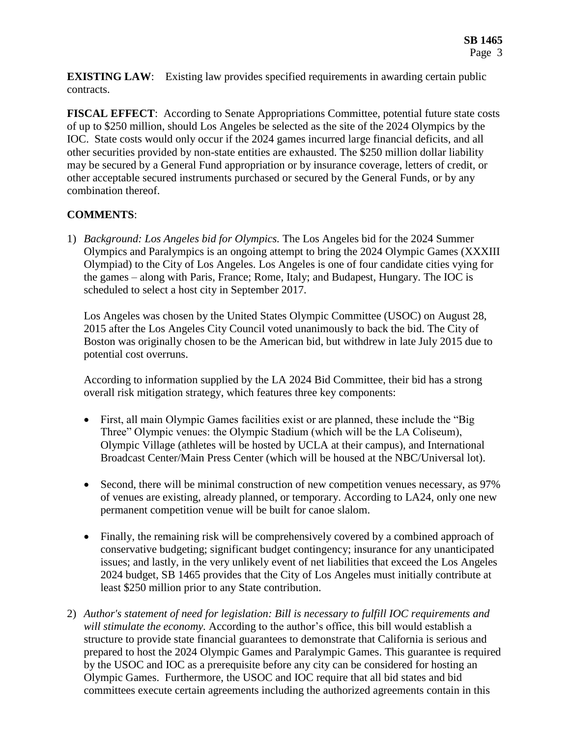**EXISTING LAW:** Existing law provides specified requirements in awarding certain public contracts.

**FISCAL EFFECT**: According to Senate Appropriations Committee, potential future state costs of up to \$250 million, should Los Angeles be selected as the site of the 2024 Olympics by the IOC. State costs would only occur if the 2024 games incurred large financial deficits, and all other securities provided by non-state entities are exhausted. The \$250 million dollar liability may be secured by a General Fund appropriation or by insurance coverage, letters of credit, or other acceptable secured instruments purchased or secured by the General Funds, or by any combination thereof.

# **COMMENTS**:

1) *Background: Los Angeles bid for Olympics.* The Los Angeles bid for the 2024 Summer Olympics and Paralympics is an ongoing attempt to bring the 2024 Olympic Games (XXXIII Olympiad) to the City of Los Angeles. Los Angeles is one of four candidate cities vying for the games – along with Paris, France; Rome, Italy; and Budapest, Hungary. The IOC is scheduled to select a host city in September 2017.

Los Angeles was chosen by the United States Olympic Committee (USOC) on August 28, 2015 after the Los Angeles City Council voted unanimously to back the bid. The City of Boston was originally chosen to be the American bid, but withdrew in late July 2015 due to potential cost overruns.

According to information supplied by the LA 2024 Bid Committee, their bid has a strong overall risk mitigation strategy, which features three key components:

- First, all main Olympic Games facilities exist or are planned, these include the "Big Three" Olympic venues: the Olympic Stadium (which will be the LA Coliseum), Olympic Village (athletes will be hosted by UCLA at their campus), and International Broadcast Center/Main Press Center (which will be housed at the NBC/Universal lot).
- Second, there will be minimal construction of new competition venues necessary, as 97% of venues are existing, already planned, or temporary. According to LA24, only one new permanent competition venue will be built for canoe slalom.
- Finally, the remaining risk will be comprehensively covered by a combined approach of conservative budgeting; significant budget contingency; insurance for any unanticipated issues; and lastly, in the very unlikely event of net liabilities that exceed the Los Angeles 2024 budget, SB 1465 provides that the City of Los Angeles must initially contribute at least \$250 million prior to any State contribution.
- 2) *Author's statement of need for legislation: Bill is necessary to fulfill IOC requirements and will stimulate the economy.* According to the author's office, this bill would establish a structure to provide state financial guarantees to demonstrate that California is serious and prepared to host the 2024 Olympic Games and Paralympic Games. This guarantee is required by the USOC and IOC as a prerequisite before any city can be considered for hosting an Olympic Games. Furthermore, the USOC and IOC require that all bid states and bid committees execute certain agreements including the authorized agreements contain in this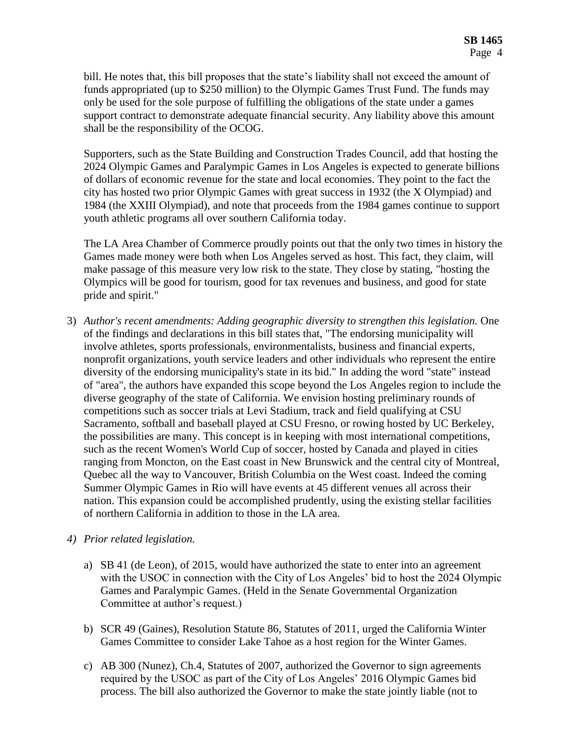bill. He notes that, this bill proposes that the state's liability shall not exceed the amount of funds appropriated (up to \$250 million) to the Olympic Games Trust Fund. The funds may only be used for the sole purpose of fulfilling the obligations of the state under a games support contract to demonstrate adequate financial security. Any liability above this amount shall be the responsibility of the OCOG.

Supporters, such as the State Building and Construction Trades Council, add that hosting the 2024 Olympic Games and Paralympic Games in Los Angeles is expected to generate billions of dollars of economic revenue for the state and local economies. They point to the fact the city has hosted two prior Olympic Games with great success in 1932 (the X Olympiad) and 1984 (the XXIII Olympiad), and note that proceeds from the 1984 games continue to support youth athletic programs all over southern California today.

The LA Area Chamber of Commerce proudly points out that the only two times in history the Games made money were both when Los Angeles served as host. This fact, they claim, will make passage of this measure very low risk to the state. They close by stating, "hosting the Olympics will be good for tourism, good for tax revenues and business, and good for state pride and spirit."

3) *Author's recent amendments: Adding geographic diversity to strengthen this legislation.* One of the findings and declarations in this bill states that, "The endorsing municipality will involve athletes, sports professionals, environmentalists, business and financial experts, nonprofit organizations, youth service leaders and other individuals who represent the entire diversity of the endorsing municipality's state in its bid." In adding the word "state" instead of "area", the authors have expanded this scope beyond the Los Angeles region to include the diverse geography of the state of California. We envision hosting preliminary rounds of competitions such as soccer trials at Levi Stadium, track and field qualifying at CSU Sacramento, softball and baseball played at CSU Fresno, or rowing hosted by UC Berkeley, the possibilities are many. This concept is in keeping with most international competitions, such as the recent Women's World Cup of soccer, hosted by Canada and played in cities ranging from Moncton, on the East coast in New Brunswick and the central city of Montreal, Quebec all the way to Vancouver, British Columbia on the West coast. Indeed the coming Summer Olympic Games in Rio will have events at 45 different venues all across their nation. This expansion could be accomplished prudently, using the existing stellar facilities of northern California in addition to those in the LA area.

## *4) Prior related legislation.*

- a) SB 41 (de Leon), of 2015, would have authorized the state to enter into an agreement with the USOC in connection with the City of Los Angeles' bid to host the 2024 Olympic Games and Paralympic Games. (Held in the Senate Governmental Organization Committee at author's request.)
- b) SCR 49 (Gaines), Resolution Statute 86, Statutes of 2011, urged the California Winter Games Committee to consider Lake Tahoe as a host region for the Winter Games.
- c) AB 300 (Nunez), Ch.4, Statutes of 2007, authorized the Governor to sign agreements required by the USOC as part of the City of Los Angeles' 2016 Olympic Games bid process. The bill also authorized the Governor to make the state jointly liable (not to